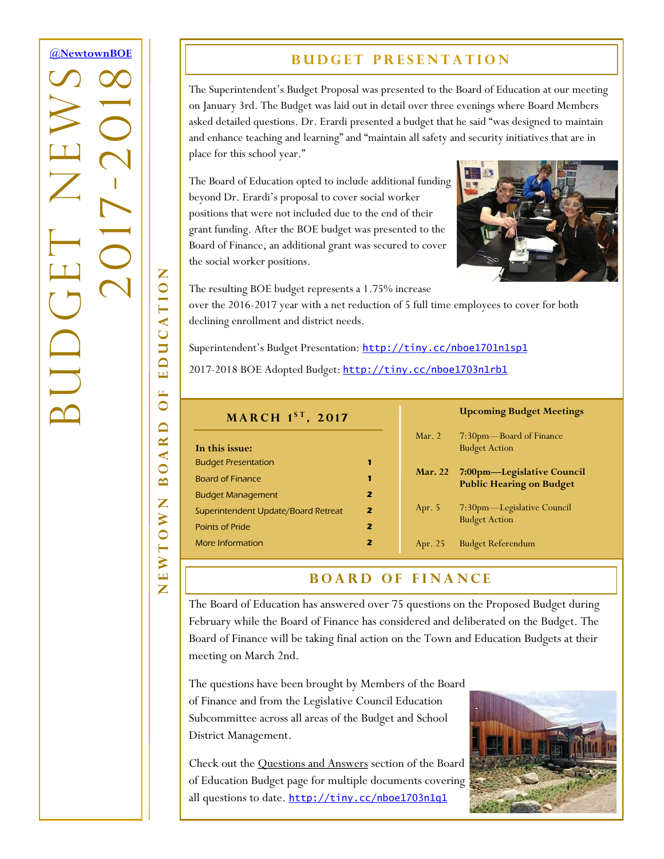# <span id="page-0-0"></span>**[@NewtownBOE](http://tiny.cc/nboe1701n1t1)** BUDGET NEWS -2018 2017  $\overline{\mathcal{C}}$ **AUD**

NEWTOWN BOARD OF EDUCATION

 $\Box$ AR  $\bullet$  $\mathbf{\underline{m}}$ Z

**EWTOW** 

 $\overline{\mathbf{z}}$ 

E  $\bullet$ 

EDUCATION

## **BUDGET PRESENTATION**

The Superintendent's Budget Proposal was presented to the Board of Education at our meeting on January 3rd. The Budget was laid out in detail over three evenings where Board Members asked detailed questions. Dr. Erardi presented a budget that he said "was designed to maintain and enhance teaching and learning" and "maintain all safety and security initiatives that are in place for this school year."

The Board of Education opted to include additional funding beyond Dr. Erardi's proposal to cover social worker positions that were not included due to the end of their grant funding. After the BOE budget was presented to the Board of Finance, an additional grant was secured to cover the social worker positions.



The resulting BOE budget represents a 1.75% increase

over the 2016-2017 year with a net reduction of 5 full time employees to cover for both declining enrollment and district needs.

Superintendent's Budget Presentation: <http://tiny.cc/nboe1701n1sp1>

2017-2018 BOE Adopted Budget: <http://tiny.cc/nboe1703n1rb1>

| MARCH 1ST, 2017                     |                         |                | <b>Upcoming Budget Meetings</b>                               |
|-------------------------------------|-------------------------|----------------|---------------------------------------------------------------|
|                                     |                         | Mar. $2$       | 7:30pm—Board of Finance                                       |
| In this issue:                      |                         |                | <b>Budget Action</b>                                          |
| <b>Budget Presentation</b>          | 1                       |                |                                                               |
| <b>Board of Finance</b>             | 1                       | <b>Mar. 22</b> | 7:00pm—Legislative Council<br><b>Public Hearing on Budget</b> |
| <b>Budget Management</b>            | $\overline{\mathbf{z}}$ |                |                                                               |
| Superintendent Update/Board Retreat | 2                       | Apr. $5$       | 7:30pm-Legislative Council                                    |
| <b>Points of Pride</b>              | $\overline{\mathbf{z}}$ |                | <b>Budget Action</b>                                          |
| More Information                    | 2                       | Apr. 25        | <b>Budget Referendum</b>                                      |

### **BOARD OF FINANCE**

The Board of Education has answered over 75 questions on the Proposed Budget during February while the Board of Finance has considered and deliberated on the Budget. The Board of Finance will be taking final action on the Town and Education Budgets at their meeting on March 2nd.

The questions have been brought by Members of the Board of Finance and from the Legislative Council Education Subcommittee across all areas of the Budget and School District Management.

Check out the Questions and Answers section of the Board of Education Budget page for multiple documents covering all questions to date. <http://tiny.cc/nboe1703n1q1>